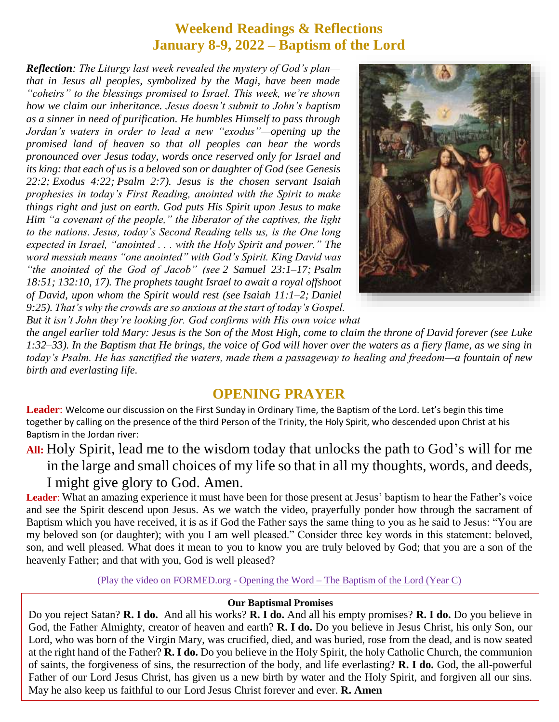### **Weekend Readings & Reflections January 8-9, 2022 – Baptism of the Lord**

*Reflection: The Liturgy last week revealed the mystery of God's plan that in Jesus all peoples, symbolized by the Magi, have been made "coheirs" to the blessings promised to Israel. This week, we're shown how we claim our inheritance. Jesus doesn't submit to John's baptism as a sinner in need of purification. He humbles Himself to pass through Jordan's waters in order to lead a new "exodus"—opening up the promised land of heaven so that all peoples can hear the words pronounced over Jesus today, words once reserved only for Israel and its king: that each of us is a beloved son or daughter of God (see [Genesis](https://biblia.com/bible/rsvce/Gen%2022.2)  [22:2;](https://biblia.com/bible/rsvce/Gen%2022.2) [Exodus 4:22;](https://biblia.com/bible/rsvce/Exod%204.22) [Psalm 2:7\)](https://biblia.com/bible/rsvce/Ps%202.7). Jesus is the chosen servant Isaiah prophesies in today's First Reading, anointed with the Spirit to make things right and just on earth. God puts His Spirit upon Jesus to make Him "a covenant of the people," the liberator of the captives, the light to the nations. Jesus, today's Second Reading tells us, is the One long expected in Israel, "anointed . . . with the Holy Spirit and power." The word messiah means "one anointed" with God's Spirit. King David was "the anointed of the God of Jacob" (see [2 Samuel 23:1–17;](https://biblia.com/bible/rsvce/2%20Sam%2023.1%E2%80%9317) [Psalm](https://biblia.com/bible/rsvce/Ps%2018.51)  [18:51;](https://biblia.com/bible/rsvce/Ps%2018.51) [132:10,](https://biblia.com/bible/rsvce/Psalm%20132.10) [17\)](https://biblia.com/bible/rsvce/Psalm%20132.17). The prophets taught Israel to await a royal offshoot of David, upon whom the Spirit would rest (see [Isaiah 11:1–2;](https://biblia.com/bible/rsvce/Isa%2011.1%E2%80%932) [Daniel](https://biblia.com/bible/rsvce/Dan%209.25)  [9:25\)](https://biblia.com/bible/rsvce/Dan%209.25). That's why the crowds are so anxious at the start of today's Gospel.* 



*But it isn't John they're looking for. God confirms with His own voice what* 

*the angel earlier told Mary: Jesus is the Son of the Most High, come to claim the throne of David forever (see [Luke](https://biblia.com/bible/rsvce/Luke%201.32%E2%80%9333)  [1:32–33\)](https://biblia.com/bible/rsvce/Luke%201.32%E2%80%9333). In the Baptism that He brings, the voice of God will hover over the waters as a fiery flame, as we sing in today's Psalm. He has sanctified the waters, made them a passageway to healing and freedom—a fountain of new birth and everlasting life.*

### **OPENING PRAYER**

**Leader**: Welcome our discussion on the First Sunday in Ordinary Time, the Baptism of the Lord. Let's begin this time together by calling on the presence of the third Person of the Trinity, the Holy Spirit, who descended upon Christ at his Baptism in the Jordan river:

## **All:** Holy Spirit, lead me to the wisdom today that unlocks the path to God's will for me in the large and small choices of my life so that in all my thoughts, words, and deeds, I might give glory to God. Amen.

**Leader**: What an amazing experience it must have been for those present at Jesus' baptism to hear the Father's voice and see the Spirit descend upon Jesus. As we watch the video, prayerfully ponder how through the sacrament of Baptism which you have received, it is as if God the Father says the same thing to you as he said to Jesus: "You are my beloved son (or daughter); with you I am well pleased." Consider three key words in this statement: beloved, son, and well pleased. What does it mean to you to know you are truly beloved by God; that you are a son of the heavenly Father; and that with you, God is well pleased?

(Play the video on FORMED.org - [Opening the Word –](https://watch.formed.org/opening-the-word-1/season:3/videos/baptism-of-the-lord-january-13-2019) The Baptism of the Lord (Year C)

#### **Our Baptismal Promises**

Do you reject Satan? **R. I do.** And all his works? **R. I do.** And all his empty promises? **R. I do.** Do you believe in God, the Father Almighty, creator of heaven and earth? **R. I do.** Do you believe in Jesus Christ, his only Son, our Lord, who was born of the Virgin Mary, was crucified, died, and was buried, rose from the dead, and is now seated at the right hand of the Father? **R. I do.** Do you believe in the Holy Spirit, the holy Catholic Church, the communion of saints, the forgiveness of sins, the resurrection of the body, and life everlasting? **R. I do.** God, the all-powerful Father of our Lord Jesus Christ, has given us a new birth by water and the Holy Spirit, and forgiven all our sins. May he also keep us faithful to our Lord Jesus Christ forever and ever. **R. Amen**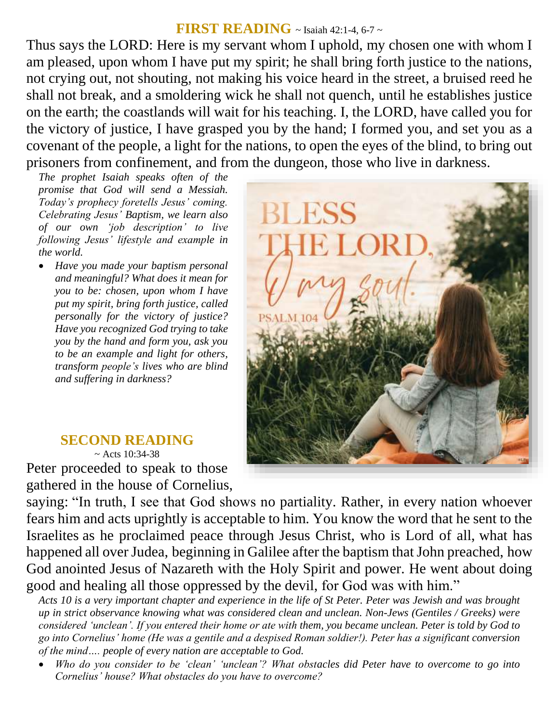### **FIRST READING** ~ Isaiah 42:1-4, 6-7 ~

Thus says the LORD: Here is my servant whom I uphold, my chosen one with whom I am pleased, upon whom I have put my spirit; he shall bring forth justice to the nations, not crying out, not shouting, not making his voice heard in the street, a bruised reed he shall not break, and a smoldering wick he shall not quench, until he establishes justice on the earth; the coastlands will wait for his teaching. I, the LORD, have called you for the victory of justice, I have grasped you by the hand; I formed you, and set you as a covenant of the people, a light for the nations, to open the eyes of the blind, to bring out prisoners from confinement, and from the dungeon, those who live in darkness.

*The prophet Isaiah speaks often of the promise that God will send a Messiah. Today's prophecy foretells Jesus' coming. Celebrating Jesus' Baptism, we learn also of our own 'job description' to live following Jesus' lifestyle and example in the world.* 

 *Have you made your baptism personal and meaningful? What does it mean for you to be: chosen, upon whom I have put my spirit, bring forth justice, called personally for the victory of justice? Have you recognized God trying to take you by the hand and form you, ask you to be an example and light for others, transform people's lives who are blind and suffering in darkness?*



#### **SECOND READING**  $~\sim$  Acts 10:34-38 Peter proceeded to speak to those gathered in the house of Cornelius,

saying: "In truth, I see that God shows no partiality. Rather, in every nation whoever fears him and acts uprightly is acceptable to him. You know the word that he sent to the Israelites as he proclaimed peace through Jesus Christ, who is Lord of all, what has happened all over Judea, beginning in Galilee after the baptism that John preached, how God anointed Jesus of Nazareth with the Holy Spirit and power. He went about doing good and healing all those oppressed by the devil, for God was with him."

*Acts 10 is a very important chapter and experience in the life of St Peter. Peter was Jewish and was brought up in strict observance knowing what was considered clean and unclean. Non-Jews (Gentiles / Greeks) were considered 'unclean'. If you entered their home or ate with them, you became unclean. Peter is told by God to go into Cornelius' home (He was a gentile and a despised Roman soldier!). Peter has a significant conversion of the mind…. people of every nation are acceptable to God.* 

 *Who do you consider to be 'clean' 'unclean'? What obstacles did Peter have to overcome to go into Cornelius' house? What obstacles do you have to overcome?*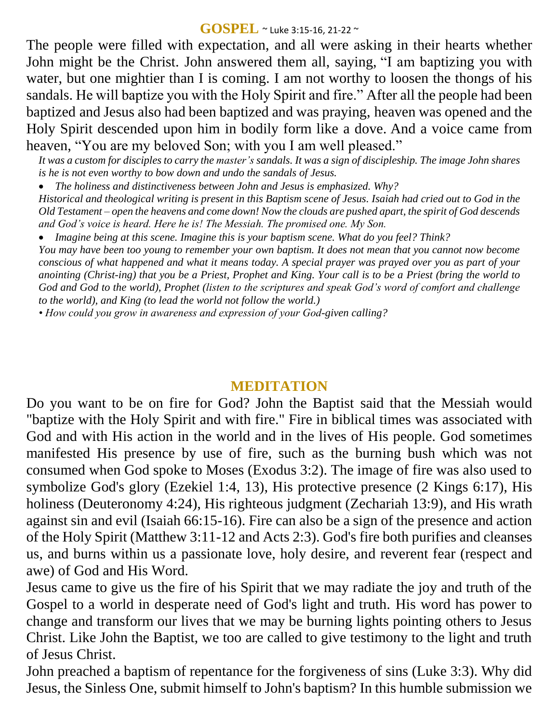#### **GOSPEL** ~ Luke 3:15-16, 21-22 <sup>~</sup>

The people were filled with expectation, and all were asking in their hearts whether John might be the Christ. John answered them all, saying, "I am baptizing you with water, but one mightier than I is coming. I am not worthy to loosen the thongs of his sandals. He will baptize you with the Holy Spirit and fire." After all the people had been baptized and Jesus also had been baptized and was praying, heaven was opened and the Holy Spirit descended upon him in bodily form like a dove. And a voice came from heaven, "You are my beloved Son; with you I am well pleased."

*It was a custom for disciples to carry the master's sandals. It was a sign of discipleship. The image John shares is he is not even worthy to bow down and undo the sandals of Jesus.* 

 *The holiness and distinctiveness between John and Jesus is emphasized. Why? Historical and theological writing is present in this Baptism scene of Jesus. Isaiah had cried out to God in the Old Testament – open the heavens and come down! Now the clouds are pushed apart, the spirit of God descends and God's voice is heard. Here he is! The Messiah. The promised one. My Son.* 

*Imagine being at this scene. Imagine this is your baptism scene. What do you feel? Think?*

*You may have been too young to remember your own baptism. It does not mean that you cannot now become conscious of what happened and what it means today. A special prayer was prayed over you as part of your anointing (Christ-ing) that you be a Priest, Prophet and King. Your call is to be a Priest (bring the world to God and God to the world), Prophet (listen to the scriptures and speak God's word of comfort and challenge to the world), and King (to lead the world not follow the world.)*

*• How could you grow in awareness and expression of your God-given calling?*

### **MEDITATION**

Do you want to be on fire for God? John the Baptist said that the Messiah would "baptize with the Holy Spirit and with fire." Fire in biblical times was associated with God and with His action in the world and in the lives of His people. God sometimes manifested His presence by use of fire, such as the burning bush which was not consumed when God spoke to Moses (Exodus 3:2). The image of fire was also used to symbolize God's glory (Ezekiel 1:4, 13), His protective presence (2 Kings 6:17), His holiness (Deuteronomy 4:24), His righteous judgment (Zechariah 13:9), and His wrath against sin and evil (Isaiah 66:15-16). Fire can also be a sign of the presence and action of the Holy Spirit (Matthew 3:11-12 and Acts 2:3). God's fire both purifies and cleanses us, and burns within us a passionate love, holy desire, and reverent fear (respect and awe) of God and His Word.

Jesus came to give us the fire of his Spirit that we may radiate the joy and truth of the Gospel to a world in desperate need of God's light and truth. His word has power to change and transform our lives that we may be burning lights pointing others to Jesus Christ. Like John the Baptist, we too are called to give testimony to the light and truth of Jesus Christ.

John preached a baptism of repentance for the forgiveness of sins (Luke 3:3). Why did Jesus, the Sinless One, submit himself to John's baptism? In this humble submission we